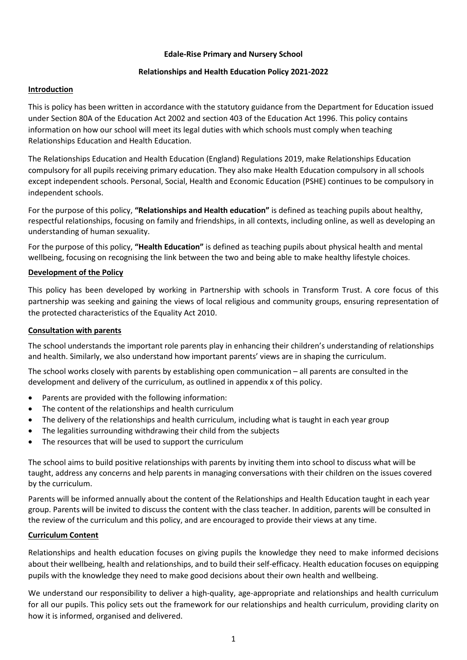### **Edale-Rise Primary and Nursery School**

## **Relationships and Health Education Policy 2021-2022**

## **Introduction**

This is policy has been written in accordance with the statutory guidance from the Department for Education issued under Section 80A of the Education Act 2002 and section 403 of the Education Act 1996. This policy contains information on how our school will meet its legal duties with which schools must comply when teaching Relationships Education and Health Education.

The Relationships Education and Health Education (England) Regulations 2019, make Relationships Education compulsory for all pupils receiving primary education. They also make Health Education compulsory in all schools except independent schools. Personal, Social, Health and Economic Education (PSHE) continues to be compulsory in independent schools.

For the purpose of this policy, **"Relationships and Health education"** is defined as teaching pupils about healthy, respectful relationships, focusing on family and friendships, in all contexts, including online, as well as developing an understanding of human sexuality.

For the purpose of this policy, **"Health Education"** is defined as teaching pupils about physical health and mental wellbeing, focusing on recognising the link between the two and being able to make healthy lifestyle choices.

## **Development of the Policy**

This policy has been developed by working in Partnership with schools in Transform Trust. A core focus of this partnership was seeking and gaining the views of local religious and community groups, ensuring representation of the protected characteristics of the Equality Act 2010.

### **Consultation with parents**

The school understands the important role parents play in enhancing their children's understanding of relationships and health. Similarly, we also understand how important parents' views are in shaping the curriculum.

The school works closely with parents by establishing open communication – all parents are consulted in the development and delivery of the curriculum, as outlined in appendix x of this policy.

- Parents are provided with the following information:
- The content of the relationships and health curriculum
- The delivery of the relationships and health curriculum, including what is taught in each year group
- The legalities surrounding withdrawing their child from the subjects
- The resources that will be used to support the curriculum

The school aims to build positive relationships with parents by inviting them into school to discuss what will be taught, address any concerns and help parents in managing conversations with their children on the issues covered by the curriculum.

Parents will be informed annually about the content of the Relationships and Health Education taught in each year group. Parents will be invited to discuss the content with the class teacher. In addition, parents will be consulted in the review of the curriculum and this policy, and are encouraged to provide their views at any time.

# **Curriculum Content**

Relationships and health education focuses on giving pupils the knowledge they need to make informed decisions about their wellbeing, health and relationships, and to build their self-efficacy. Health education focuses on equipping pupils with the knowledge they need to make good decisions about their own health and wellbeing.

We understand our responsibility to deliver a high-quality, age-appropriate and relationships and health curriculum for all our pupils. This policy sets out the framework for our relationships and health curriculum, providing clarity on how it is informed, organised and delivered.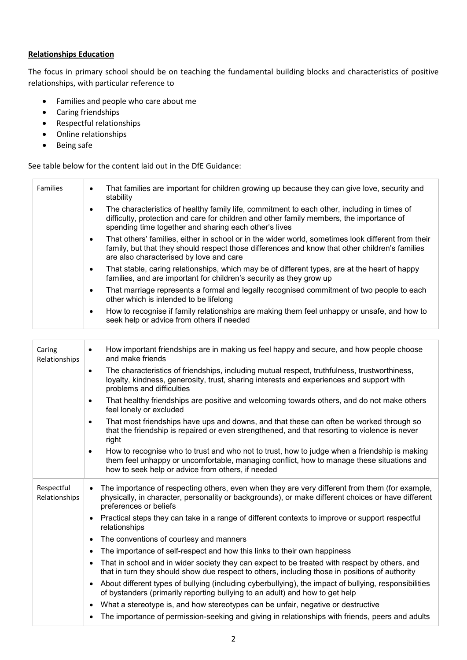## **Relationships Education**

The focus in primary school should be on teaching the fundamental building blocks and characteristics of positive relationships, with particular reference to

- Families and people who care about me
- Caring friendships
- Respectful relationships
- Online relationships
- Being safe

See table below for the content laid out in the DfE Guidance:

| <b>Families</b> | That families are important for children growing up because they can give love, security and<br>٠<br>stability                                                                                                                                                |
|-----------------|---------------------------------------------------------------------------------------------------------------------------------------------------------------------------------------------------------------------------------------------------------------|
|                 | The characteristics of healthy family life, commitment to each other, including in times of<br>$\bullet$<br>difficulty, protection and care for children and other family members, the importance of<br>spending time together and sharing each other's lives |
|                 | That others' families, either in school or in the wider world, sometimes look different from their<br>$\bullet$<br>family, but that they should respect those differences and know that other children's families<br>are also characterised by love and care  |
|                 | That stable, caring relationships, which may be of different types, are at the heart of happy<br>$\bullet$<br>families, and are important for children's security as they grow up                                                                             |
|                 | That marriage represents a formal and legally recognised commitment of two people to each<br>$\bullet$<br>other which is intended to be lifelong                                                                                                              |
|                 | How to recognise if family relationships are making them feel unhappy or unsafe, and how to<br>٠<br>seek help or advice from others if needed                                                                                                                 |
|                 |                                                                                                                                                                                                                                                               |

| Caring<br>Relationships     | How important friendships are in making us feel happy and secure, and how people choose<br>$\bullet$<br>and make friends<br>The characteristics of friendships, including mutual respect, truthfulness, trustworthiness,<br>$\bullet$<br>loyalty, kindness, generosity, trust, sharing interests and experiences and support with<br>problems and difficulties<br>That healthy friendships are positive and welcoming towards others, and do not make others<br>$\bullet$<br>feel lonely or excluded<br>That most friendships have ups and downs, and that these can often be worked through so<br>$\bullet$<br>that the friendship is repaired or even strengthened, and that resorting to violence is never<br>right<br>How to recognise who to trust and who not to trust, how to judge when a friendship is making<br>$\bullet$<br>them feel unhappy or uncomfortable, managing conflict, how to manage these situations and |
|-----------------------------|----------------------------------------------------------------------------------------------------------------------------------------------------------------------------------------------------------------------------------------------------------------------------------------------------------------------------------------------------------------------------------------------------------------------------------------------------------------------------------------------------------------------------------------------------------------------------------------------------------------------------------------------------------------------------------------------------------------------------------------------------------------------------------------------------------------------------------------------------------------------------------------------------------------------------------|
|                             | how to seek help or advice from others, if needed                                                                                                                                                                                                                                                                                                                                                                                                                                                                                                                                                                                                                                                                                                                                                                                                                                                                                |
| Respectful<br>Relationships | The importance of respecting others, even when they are very different from them (for example,<br>physically, in character, personality or backgrounds), or make different choices or have different<br>preferences or beliefs                                                                                                                                                                                                                                                                                                                                                                                                                                                                                                                                                                                                                                                                                                   |
|                             | Practical steps they can take in a range of different contexts to improve or support respectful<br>relationships                                                                                                                                                                                                                                                                                                                                                                                                                                                                                                                                                                                                                                                                                                                                                                                                                 |
|                             | The conventions of courtesy and manners                                                                                                                                                                                                                                                                                                                                                                                                                                                                                                                                                                                                                                                                                                                                                                                                                                                                                          |
|                             | The importance of self-respect and how this links to their own happiness                                                                                                                                                                                                                                                                                                                                                                                                                                                                                                                                                                                                                                                                                                                                                                                                                                                         |
|                             | That in school and in wider society they can expect to be treated with respect by others, and<br>that in turn they should show due respect to others, including those in positions of authority                                                                                                                                                                                                                                                                                                                                                                                                                                                                                                                                                                                                                                                                                                                                  |
|                             | About different types of bullying (including cyberbullying), the impact of bullying, responsibilities<br>of bystanders (primarily reporting bullying to an adult) and how to get help                                                                                                                                                                                                                                                                                                                                                                                                                                                                                                                                                                                                                                                                                                                                            |
|                             | What a stereotype is, and how stereotypes can be unfair, negative or destructive<br>$\bullet$                                                                                                                                                                                                                                                                                                                                                                                                                                                                                                                                                                                                                                                                                                                                                                                                                                    |
|                             | The importance of permission-seeking and giving in relationships with friends, peers and adults                                                                                                                                                                                                                                                                                                                                                                                                                                                                                                                                                                                                                                                                                                                                                                                                                                  |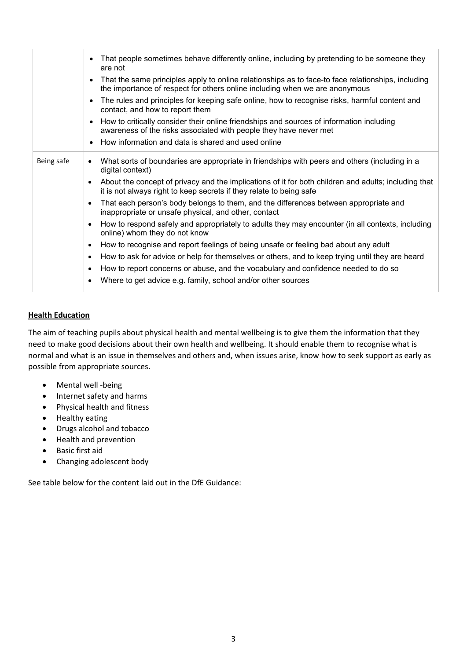|            | That people sometimes behave differently online, including by pretending to be someone they<br>are not                                                                                   |
|------------|------------------------------------------------------------------------------------------------------------------------------------------------------------------------------------------|
|            | That the same principles apply to online relationships as to face-to face relationships, including<br>the importance of respect for others online including when we are anonymous        |
|            | The rules and principles for keeping safe online, how to recognise risks, harmful content and<br>contact, and how to report them                                                         |
|            | How to critically consider their online friendships and sources of information including<br>awareness of the risks associated with people they have never met                            |
|            | How information and data is shared and used online                                                                                                                                       |
| Being safe | What sorts of boundaries are appropriate in friendships with peers and others (including in a<br>$\bullet$<br>digital context)                                                           |
|            | About the concept of privacy and the implications of it for both children and adults; including that<br>$\bullet$<br>it is not always right to keep secrets if they relate to being safe |
|            | That each person's body belongs to them, and the differences between appropriate and<br>$\bullet$<br>inappropriate or unsafe physical, and other, contact                                |
|            | How to respond safely and appropriately to adults they may encounter (in all contexts, including<br>$\bullet$<br>online) whom they do not know                                           |
|            | How to recognise and report feelings of being unsafe or feeling bad about any adult<br>$\bullet$                                                                                         |
|            | How to ask for advice or help for themselves or others, and to keep trying until they are heard<br>$\bullet$                                                                             |
|            | How to report concerns or abuse, and the vocabulary and confidence needed to do so<br>$\bullet$                                                                                          |
|            | Where to get advice e.g. family, school and/or other sources                                                                                                                             |

# **Health Education**

The aim of teaching pupils about physical health and mental wellbeing is to give them the information that they need to make good decisions about their own health and wellbeing. It should enable them to recognise what is normal and what is an issue in themselves and others and, when issues arise, know how to seek support as early as possible from appropriate sources.

- Mental well -being
- Internet safety and harms
- Physical health and fitness
- Healthy eating
- Drugs alcohol and tobacco
- Health and prevention
- Basic first aid
- Changing adolescent body

See table below for the content laid out in the DfE Guidance: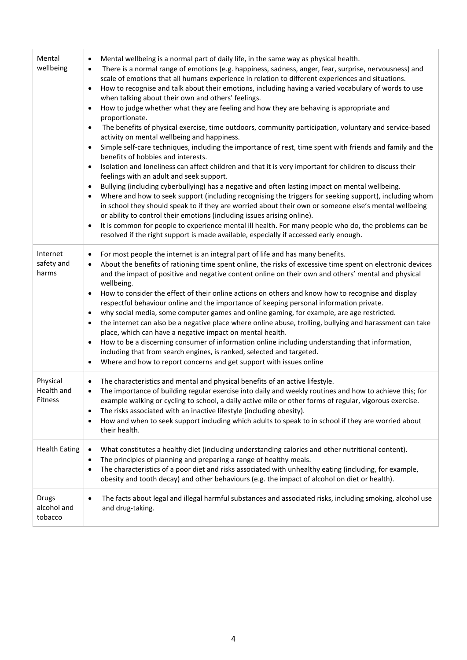| Mental<br>wellbeing               | Mental wellbeing is a normal part of daily life, in the same way as physical health.<br>$\bullet$<br>There is a normal range of emotions (e.g. happiness, sadness, anger, fear, surprise, nervousness) and<br>$\bullet$<br>scale of emotions that all humans experience in relation to different experiences and situations.<br>How to recognise and talk about their emotions, including having a varied vocabulary of words to use<br>$\bullet$<br>when talking about their own and others' feelings.<br>How to judge whether what they are feeling and how they are behaving is appropriate and<br>$\bullet$<br>proportionate.<br>The benefits of physical exercise, time outdoors, community participation, voluntary and service-based<br>$\bullet$<br>activity on mental wellbeing and happiness.<br>Simple self-care techniques, including the importance of rest, time spent with friends and family and the<br>$\bullet$<br>benefits of hobbies and interests.<br>Isolation and loneliness can affect children and that it is very important for children to discuss their<br>$\bullet$<br>feelings with an adult and seek support.<br>Bullying (including cyberbullying) has a negative and often lasting impact on mental wellbeing.<br>$\bullet$<br>Where and how to seek support (including recognising the triggers for seeking support), including whom<br>$\bullet$<br>in school they should speak to if they are worried about their own or someone else's mental wellbeing<br>or ability to control their emotions (including issues arising online).<br>It is common for people to experience mental ill health. For many people who do, the problems can be<br>$\bullet$<br>resolved if the right support is made available, especially if accessed early enough. |
|-----------------------------------|---------------------------------------------------------------------------------------------------------------------------------------------------------------------------------------------------------------------------------------------------------------------------------------------------------------------------------------------------------------------------------------------------------------------------------------------------------------------------------------------------------------------------------------------------------------------------------------------------------------------------------------------------------------------------------------------------------------------------------------------------------------------------------------------------------------------------------------------------------------------------------------------------------------------------------------------------------------------------------------------------------------------------------------------------------------------------------------------------------------------------------------------------------------------------------------------------------------------------------------------------------------------------------------------------------------------------------------------------------------------------------------------------------------------------------------------------------------------------------------------------------------------------------------------------------------------------------------------------------------------------------------------------------------------------------------------------------------------------------------------------------------------------------------|
| Internet<br>safety and<br>harms   | For most people the internet is an integral part of life and has many benefits.<br>$\bullet$<br>About the benefits of rationing time spent online, the risks of excessive time spent on electronic devices<br>$\bullet$<br>and the impact of positive and negative content online on their own and others' mental and physical<br>wellbeing.<br>How to consider the effect of their online actions on others and know how to recognise and display<br>$\bullet$<br>respectful behaviour online and the importance of keeping personal information private.<br>why social media, some computer games and online gaming, for example, are age restricted.<br>$\bullet$<br>the internet can also be a negative place where online abuse, trolling, bullying and harassment can take<br>$\bullet$<br>place, which can have a negative impact on mental health.<br>How to be a discerning consumer of information online including understanding that information,<br>$\bullet$<br>including that from search engines, is ranked, selected and targeted.<br>Where and how to report concerns and get support with issues online<br>$\bullet$                                                                                                                                                                                                                                                                                                                                                                                                                                                                                                                                                                                                                                               |
| Physical<br>Health and<br>Fitness | The characteristics and mental and physical benefits of an active lifestyle.<br>$\bullet$<br>The importance of building regular exercise into daily and weekly routines and how to achieve this; for<br>$\bullet$<br>example walking or cycling to school, a daily active mile or other forms of regular, vigorous exercise.<br>The risks associated with an inactive lifestyle (including obesity).<br>$\bullet$<br>How and when to seek support including which adults to speak to in school if they are worried about<br>$\bullet$<br>their health.                                                                                                                                                                                                                                                                                                                                                                                                                                                                                                                                                                                                                                                                                                                                                                                                                                                                                                                                                                                                                                                                                                                                                                                                                                |
| <b>Health Eating</b>              | What constitutes a healthy diet (including understanding calories and other nutritional content).<br>$\bullet$<br>The principles of planning and preparing a range of healthy meals.<br>$\bullet$<br>The characteristics of a poor diet and risks associated with unhealthy eating (including, for example,<br>$\bullet$<br>obesity and tooth decay) and other behaviours (e.g. the impact of alcohol on diet or health).                                                                                                                                                                                                                                                                                                                                                                                                                                                                                                                                                                                                                                                                                                                                                                                                                                                                                                                                                                                                                                                                                                                                                                                                                                                                                                                                                             |
| Drugs<br>alcohol and<br>tobacco   | The facts about legal and illegal harmful substances and associated risks, including smoking, alcohol use<br>$\bullet$<br>and drug-taking.                                                                                                                                                                                                                                                                                                                                                                                                                                                                                                                                                                                                                                                                                                                                                                                                                                                                                                                                                                                                                                                                                                                                                                                                                                                                                                                                                                                                                                                                                                                                                                                                                                            |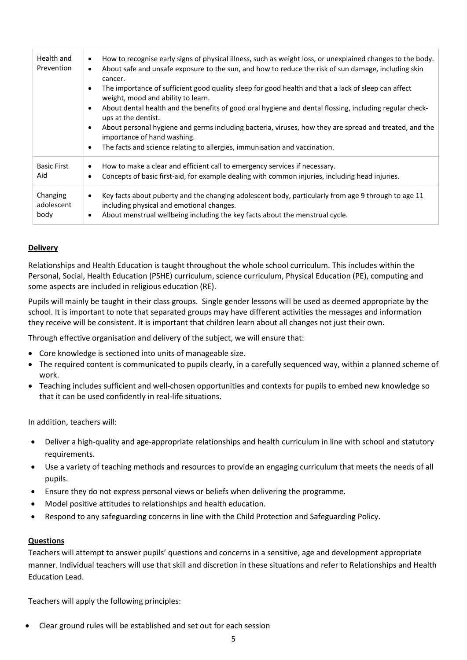| Health and<br>Prevention       | How to recognise early signs of physical illness, such as weight loss, or unexplained changes to the body.<br>$\bullet$<br>About safe and unsafe exposure to the sun, and how to reduce the risk of sun damage, including skin<br>$\bullet$<br>cancer.<br>The importance of sufficient good quality sleep for good health and that a lack of sleep can affect<br>٠<br>weight, mood and ability to learn.<br>About dental health and the benefits of good oral hygiene and dental flossing, including regular check-<br>٠<br>ups at the dentist.<br>About personal hygiene and germs including bacteria, viruses, how they are spread and treated, and the<br>٠<br>importance of hand washing.<br>The facts and science relating to allergies, immunisation and vaccination.<br>٠ |
|--------------------------------|----------------------------------------------------------------------------------------------------------------------------------------------------------------------------------------------------------------------------------------------------------------------------------------------------------------------------------------------------------------------------------------------------------------------------------------------------------------------------------------------------------------------------------------------------------------------------------------------------------------------------------------------------------------------------------------------------------------------------------------------------------------------------------|
| <b>Basic First</b><br>Aid      | How to make a clear and efficient call to emergency services if necessary.<br>٠<br>Concepts of basic first-aid, for example dealing with common injuries, including head injuries.<br>$\bullet$                                                                                                                                                                                                                                                                                                                                                                                                                                                                                                                                                                                  |
| Changing<br>adolescent<br>body | Key facts about puberty and the changing adolescent body, particularly from age 9 through to age 11<br>$\bullet$<br>including physical and emotional changes.<br>About menstrual wellbeing including the key facts about the menstrual cycle.<br>٠                                                                                                                                                                                                                                                                                                                                                                                                                                                                                                                               |

## **Delivery**

Relationships and Health Education is taught throughout the whole school curriculum. This includes within the Personal, Social, Health Education (PSHE) curriculum, science curriculum, Physical Education (PE), computing and some aspects are included in religious education (RE).

Pupils will mainly be taught in their class groups. Single gender lessons will be used as deemed appropriate by the school. It is important to note that separated groups may have different activities the messages and information they receive will be consistent. It is important that children learn about all changes not just their own.

Through effective organisation and delivery of the subject, we will ensure that:

- Core knowledge is sectioned into units of manageable size.
- The required content is communicated to pupils clearly, in a carefully sequenced way, within a planned scheme of work.
- Teaching includes sufficient and well-chosen opportunities and contexts for pupils to embed new knowledge so that it can be used confidently in real-life situations.

In addition, teachers will:

- Deliver a high-quality and age-appropriate relationships and health curriculum in line with school and statutory requirements.
- Use a variety of teaching methods and resources to provide an engaging curriculum that meets the needs of all pupils.
- Ensure they do not express personal views or beliefs when delivering the programme.
- Model positive attitudes to relationships and health education.
- Respond to any safeguarding concerns in line with the Child Protection and Safeguarding Policy.

### **Questions**

Teachers will attempt to answer pupils' questions and concerns in a sensitive, age and development appropriate manner. Individual teachers will use that skill and discretion in these situations and refer to Relationships and Health Education Lead.

Teachers will apply the following principles:

• Clear ground rules will be established and set out for each session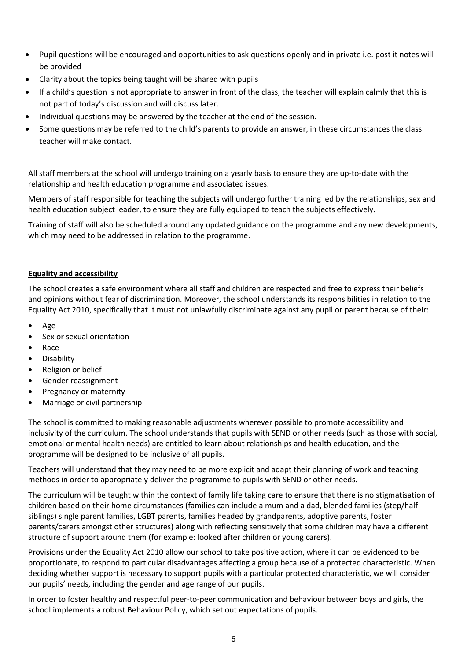- Pupil questions will be encouraged and opportunities to ask questions openly and in private i.e. post it notes will be provided
- Clarity about the topics being taught will be shared with pupils
- If a child's question is not appropriate to answer in front of the class, the teacher will explain calmly that this is not part of today's discussion and will discuss later.
- Individual questions may be answered by the teacher at the end of the session.
- Some questions may be referred to the child's parents to provide an answer, in these circumstances the class teacher will make contact.

All staff members at the school will undergo training on a yearly basis to ensure they are up-to-date with the relationship and health education programme and associated issues.

Members of staff responsible for teaching the subjects will undergo further training led by the relationships, sex and health education subject leader, to ensure they are fully equipped to teach the subjects effectively.

Training of staff will also be scheduled around any updated guidance on the programme and any new developments, which may need to be addressed in relation to the programme.

# **Equality and accessibility**

The school creates a safe environment where all staff and children are respected and free to express their beliefs and opinions without fear of discrimination. Moreover, the school understands its responsibilities in relation to the Equality Act 2010, specifically that it must not unlawfully discriminate against any pupil or parent because of their:

- Age
- Sex or sexual orientation
- Race
- Disability
- Religion or belief
- Gender reassignment
- Pregnancy or maternity
- Marriage or civil partnership

The school is committed to making reasonable adjustments wherever possible to promote accessibility and inclusivity of the curriculum. The school understands that pupils with SEND or other needs (such as those with social, emotional or mental health needs) are entitled to learn about relationships and health education, and the programme will be designed to be inclusive of all pupils.

Teachers will understand that they may need to be more explicit and adapt their planning of work and teaching methods in order to appropriately deliver the programme to pupils with SEND or other needs.

The curriculum will be taught within the context of family life taking care to ensure that there is no stigmatisation of children based on their home circumstances (families can include a mum and a dad, blended families (step/half siblings) single parent families, LGBT parents, families headed by grandparents, adoptive parents, foster parents/carers amongst other structures) along with reflecting sensitively that some children may have a different structure of support around them (for example: looked after children or young carers).

Provisions under the Equality Act 2010 allow our school to take positive action, where it can be evidenced to be proportionate, to respond to particular disadvantages affecting a group because of a protected characteristic. When deciding whether support is necessary to support pupils with a particular protected characteristic, we will consider our pupils' needs, including the gender and age range of our pupils.

In order to foster healthy and respectful peer-to-peer communication and behaviour between boys and girls, the school implements a robust Behaviour Policy, which set out expectations of pupils.